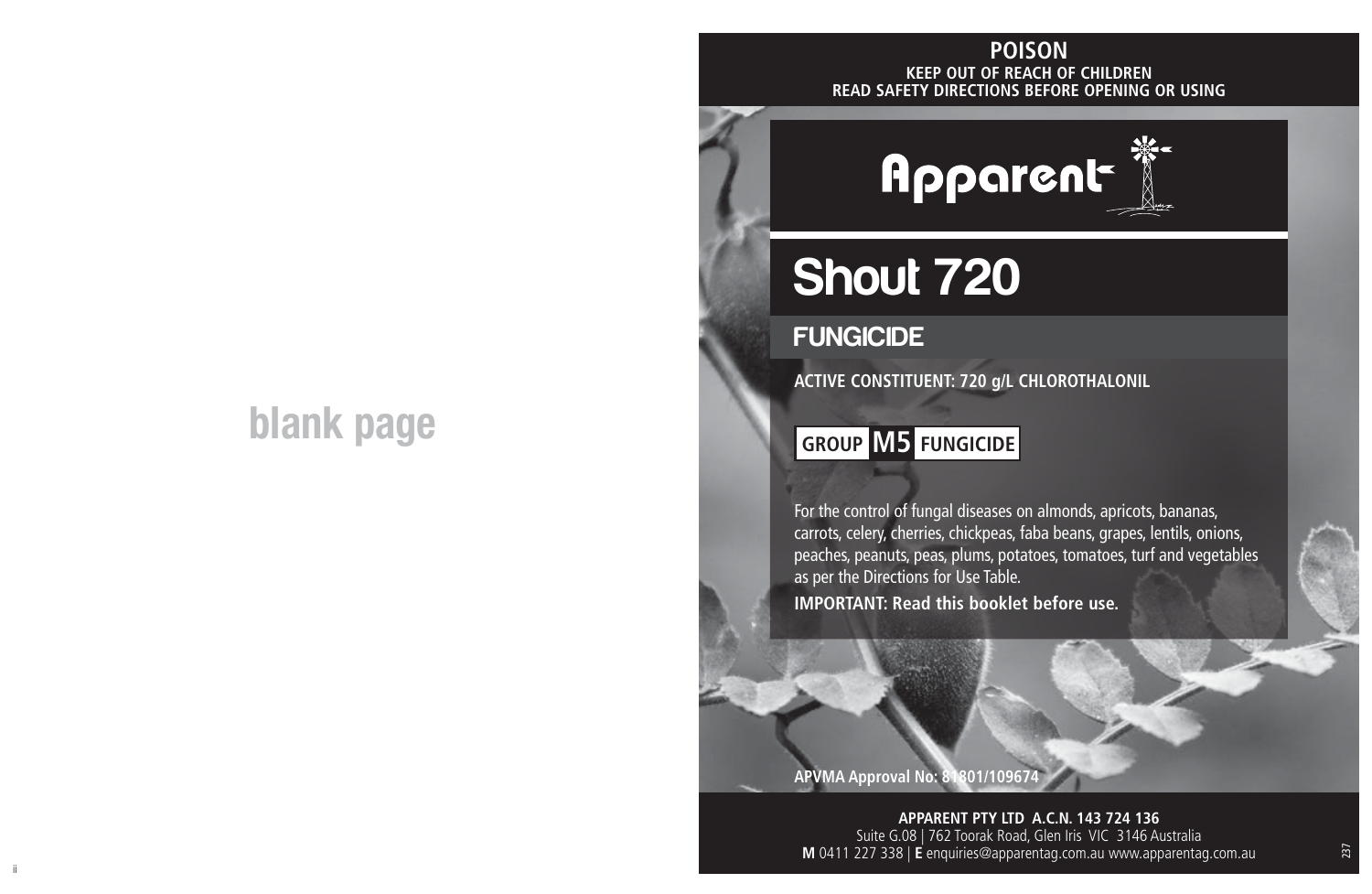# **blank page**

#### **KEEP OUT OF REACH OF CHILDREN READ SAFETY DIRECTIONS BEFORE OPENING OR USING POISON**



# Shout 720

# **FUNGICIDE**

**ACTIVE CONSTITUENT: 720 g/L CHLOROTHALONIL**

# **GROUP M5 FUNGICIDE**

For the control of fungal diseases on almonds, apricots, bananas, carrots, celery, cherries, chickpeas, faba beans, grapes, lentils, onions, peaches, peanuts, peas, plums, potatoes, tomatoes, turf and vegetables as per the Directions for Use Table. **IMPORTANT: Read this booklet before use.**

**APVMA Approval No: 81801/109674**

ii aastad ka ka maanaan ka maanaan ka maanaan ka maanaan ka maanaan ka maanaan ka maanaan maanaan ka maanaan k<br>Ii **APPARENT PTY LTD A.C.N. 143 724 136** Suite G.08 | 762 Toorak Road, Glen Iris VIC 3146 Australia **M** 0411 227 338 | **E** enquiries@apparentag.com.au www.apparentag.com.au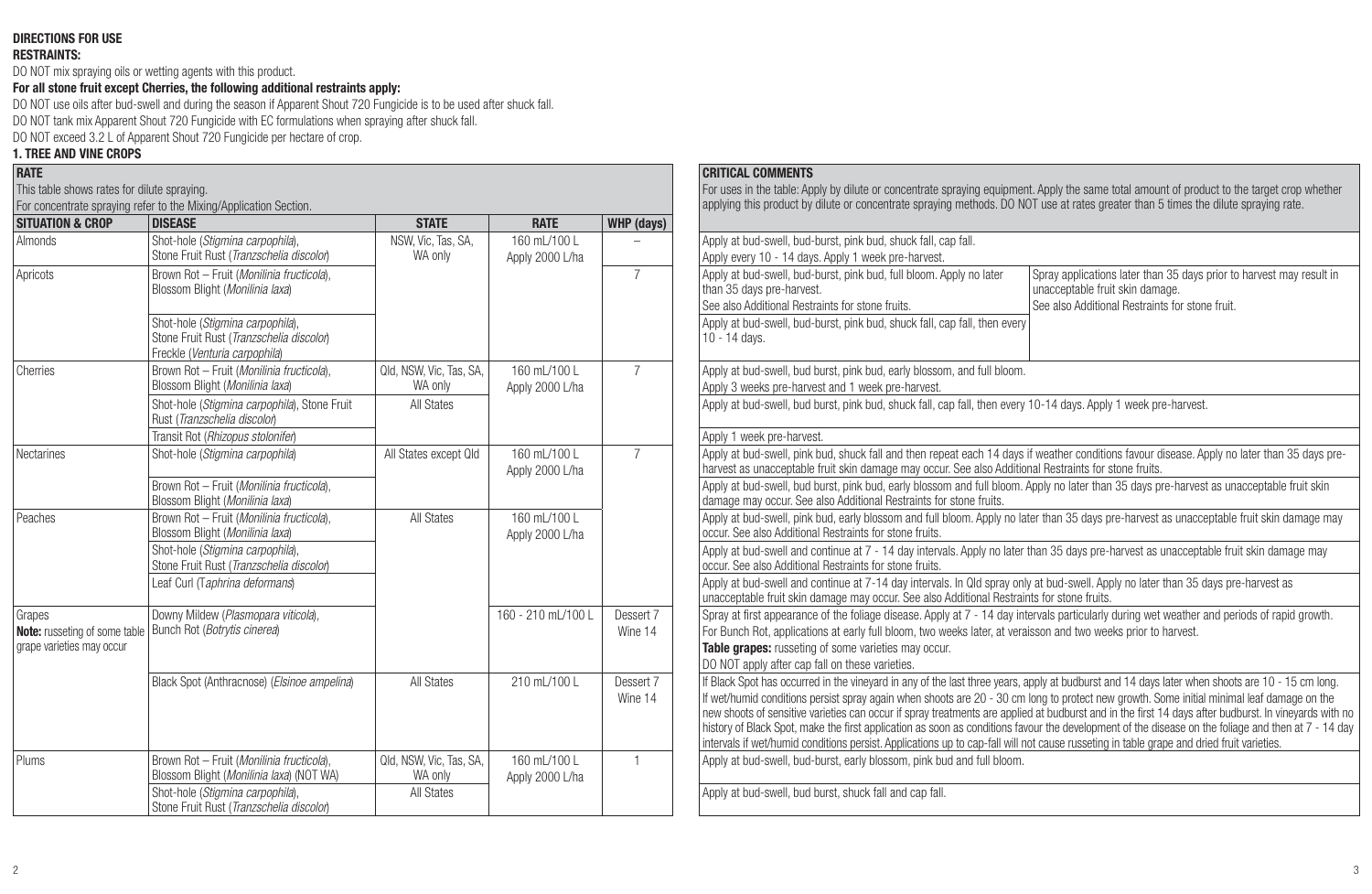#### **DIRECTIONS FOR USE**

#### **RESTRAINTS:**

DO NOT mix spraying oils or wetting agents with this product.

**For all stone fruit except Cherries, the following additional restraints apply:**

DO NOT use oils after bud-swell and during the season if Apparent Shout 720 Fungicide is to be used after shuck fall. DO NOT tank mix Apparent Shout 720 Fungicide with EC formulations when spraying after shuck fall.

DO NOT exceed 3.2 L of Apparent Shout 720 Fungicide per hectare of crop.

### **1. TREE AND VINE CROPS**

| <b>RATE</b>                                                                               |                                                                                                               |                                    |                                  |                | <b>CRITICAL COMMENTS</b>                                                                                                                                                                                                                    |
|-------------------------------------------------------------------------------------------|---------------------------------------------------------------------------------------------------------------|------------------------------------|----------------------------------|----------------|---------------------------------------------------------------------------------------------------------------------------------------------------------------------------------------------------------------------------------------------|
| This table shows rates for dilute spraying.                                               |                                                                                                               |                                    |                                  |                | For uses in the table: Apply by dilute or concentrate s<br>applying this product by dilute or concentrate sprayin                                                                                                                           |
| <b>SITUATION &amp; CROP</b>                                                               | For concentrate spraying refer to the Mixing/Application Section.<br><b>DISEASE</b>                           | <b>STATE</b>                       | <b>RATE</b>                      | WHP (days)     |                                                                                                                                                                                                                                             |
| <b>Almonds</b>                                                                            | Shot-hole (Stigmina carpophila),<br>Stone Fruit Rust (Tranzschelia discolon)                                  | NSW, Vic, Tas, SA,<br>WA only      | 160 ml /100 l<br>Apply 2000 L/ha |                | Apply at bud-swell, bud-burst, pink bud, shuck fall, ca<br>Apply every 10 - 14 days. Apply 1 week pre-harvest.                                                                                                                              |
| Apricots                                                                                  | Brown Rot - Fruit (Monilinia fructicola).<br>Blossom Blight (Monilinia laxa)                                  |                                    |                                  | $\overline{7}$ | Apply at bud-swell, bud-burst, pink bud, full bloom, A<br>than 35 days pre-harvest.<br>See also Additional Restraints for stone fruits.                                                                                                     |
|                                                                                           | Shot-hole (Stigmina carpophila),<br>Stone Fruit Rust (Tranzschelia discolor)<br>Freckle (Venturia carpophila) |                                    |                                  |                | Apply at bud-swell, bud-burst, pink bud, shuck fall, ca<br>10 - 14 days.                                                                                                                                                                    |
| Cherries                                                                                  | Brown Rot - Fruit (Monilinia fructicola).<br>Blossom Blight (Monilinia laxa)                                  | Qld, NSW, Vic, Tas, SA,<br>WA only | 160 mL/100 L<br>Apply 2000 L/ha  |                | Apply at bud-swell, bud burst, pink bud, early blossor<br>Apply 3 weeks pre-harvest and 1 week pre-harvest.                                                                                                                                 |
|                                                                                           | Shot-hole (Stiamina carpophila). Stone Fruit<br>Rust (Tranzschelia discolor)                                  | All States                         |                                  |                | Apply at bud-swell, bud burst, pink bud, shuck fall, ca                                                                                                                                                                                     |
|                                                                                           | Transit Rot (Rhizopus stolonifer)                                                                             |                                    |                                  |                | Apply 1 week pre-harvest.                                                                                                                                                                                                                   |
| Nectarines                                                                                | Shot-hole (Stigmina carpophila)                                                                               | All States except Old              | 160 mL/100 L<br>Apply 2000 L/ha  | $\overline{7}$ | Apply at bud-swell, pink bud, shuck fall and then rep<br>harvest as unacceptable fruit skin damage may occu                                                                                                                                 |
|                                                                                           | Brown Rot - Fruit (Monilinia fructicola),<br>Blossom Blight (Monilinia laxa)                                  |                                    |                                  |                | Apply at bud-swell, bud burst, pink bud, early blossor<br>damage may occur. See also Additional Restraints for                                                                                                                              |
| Peaches                                                                                   | Brown Rot - Fruit (Monilinia fructicola).<br>Blossom Blight (Monilinia laxa)                                  | All States                         | 160 ml /100 l<br>Apply 2000 L/ha |                | Apply at bud-swell, pink bud, early blossom and full b<br>occur. See also Additional Restraints for stone fruits.                                                                                                                           |
|                                                                                           | Shot-hole (Stiamina carpophila).<br>Stone Fruit Rust (Tranzschelia discolon)                                  |                                    |                                  |                | Apply at bud-swell and continue at 7 - 14 day interva<br>occur. See also Additional Restraints for stone fruits.                                                                                                                            |
|                                                                                           | Leaf Curl (Taphrina deformans)                                                                                |                                    |                                  |                | Apply at bud-swell and continue at 7-14 day intervals<br>unacceptable fruit skin damage may occur. See also,                                                                                                                                |
| Grapes                                                                                    | Downy Mildew (Plasmopara viticola).                                                                           |                                    | 160 - 210 mL/100 L               | Dessert 7      | Spray at first appearance of the foliage disease. Appl                                                                                                                                                                                      |
| Note: russeting of some table   Bunch Rot (Botrytis cinerea)<br>grape varieties may occur |                                                                                                               |                                    |                                  | Wine 14        | For Bunch Rot, applications at early full bloom, two w<br>Table grapes: russeting of some varieties may occu<br>DO NOT apply after cap fall on these varieties.                                                                             |
|                                                                                           | Black Spot (Anthracnose) (Elsinoe ampelina)                                                                   | All States                         | 210 mL/100 L                     | Dessert 7      | If Black Spot has occurred in the vinevard in any of the                                                                                                                                                                                    |
|                                                                                           |                                                                                                               |                                    |                                  | Wine 14        | If wet/humid conditions persist spray again when shoo<br>new shoots of sensitive varieties can occur if spray trea<br>history of Black Spot, make the first application as soo<br>intervals if wet/humid conditions persist. Applications u |
| Plums                                                                                     | Brown Rot - Fruit (Monilinia fructicola).<br>Blossom Blight (Monilinia laxa) (NOT WA)                         | Qld, NSW, Vic, Tas, SA,<br>WA only | 160 ml /100 l<br>Apply 2000 L/ha | 1              | Apply at bud-swell, bud-burst, early blossom, pink bu                                                                                                                                                                                       |
|                                                                                           | Shot-hole (Stigmina carpophila),<br>Stone Fruit Rust (Tranzschelia discolon)                                  | All States                         |                                  |                | Apply at bud-swell, bud burst, shuck fall and cap fall.                                                                                                                                                                                     |

#### **CRITICAL COMMENTS**

For uses in the table: Apply by dilute or concentrate spraying equipment. Apply the same total amount of product to the target crop whether applying this product by dilute or concentrate spraying methods. DO NOT use at rates greater than 5 times the dilute spraying rate.

| пэемэе                                                                                                        | JIMIL                              | <b>IML</b>                       | <b>WIIF</b> (uays) |                                                                                                                                                                                                                                                       |
|---------------------------------------------------------------------------------------------------------------|------------------------------------|----------------------------------|--------------------|-------------------------------------------------------------------------------------------------------------------------------------------------------------------------------------------------------------------------------------------------------|
| Shot-hole (Stigmina carpophila),<br>Stone Fruit Rust (Tranzschelia discolon                                   | NSW, Vic. Tas, SA.<br>WA only      | 160 ml /100 l                    |                    | Apply at bud-swell, bud-burst, pink bud, shuck fall, cap fall.                                                                                                                                                                                        |
|                                                                                                               |                                    | Apply 2000 L/ha                  |                    | Apply every 10 - 14 days. Apply 1 week pre-harvest.                                                                                                                                                                                                   |
| Brown Rot - Fruit (Monilinia fructicola).<br>Blossom Blight (Monilinia laxa)                                  |                                    |                                  | $\overline{7}$     | Apply at bud-swell, bud-burst, pink bud, full bloom. Apply no later<br>Spray applications later than 35 days prior to harvest may result in<br>unacceptable fruit skin damage.<br>than 35 days pre-harvest.                                           |
|                                                                                                               |                                    |                                  |                    | See also Additional Restraints for stone fruits.<br>See also Additional Restraints for stone fruit.                                                                                                                                                   |
| Shot-hole (Stiamina carpophila).<br>Stone Fruit Rust (Tranzschelia discolor)<br>Freckle (Venturia carpophila) |                                    |                                  |                    | Apply at bud-swell, bud-burst, pink bud, shuck fall, cap fall, then every<br>10 - 14 days.                                                                                                                                                            |
| Brown Rot - Fruit (Monilinia fructicola).<br>Blossom Blight (Monilinia laxa)                                  | Qld, NSW, Vic, Tas, SA,<br>WA only | 160 ml /100 l<br>Apply 2000 L/ha | $\overline{7}$     | Apply at bud-swell, bud burst, pink bud, early blossom, and full bloom.<br>Apply 3 weeks pre-harvest and 1 week pre-harvest.                                                                                                                          |
| Shot-hole (Stiamina carpophila), Stone Fruit<br>Rust (Tranzschelia discolon)                                  | All States                         |                                  |                    | Apply at bud-swell, bud burst, pink bud, shuck fall, cap fall, then every 10-14 days. Apply 1 week pre-harvest.                                                                                                                                       |
| Transit Rot (Rhizopus stolonifer)                                                                             |                                    |                                  |                    | Apply 1 week pre-harvest.                                                                                                                                                                                                                             |
| Shot-hole (Stigmina carpophila)                                                                               | All States except Old              | 160 ml /100 l<br>Apply 2000 L/ha | $\overline{7}$     | Apply at bud-swell, pink bud, shuck fall and then repeat each 14 days if weather conditions fayour disease. Apply no later than 35 days pre-<br>harvest as unacceptable fruit skin damage may occur. See also Additional Restraints for stone fruits. |
| Brown Rot - Fruit (Monilinia fructicola).<br>Blossom Blight (Monilinia laxa)                                  |                                    |                                  |                    | Apply at bud-swell, bud burst, pink bud, early blossom and full bloom. Apply no later than 35 days pre-harvest as unacceptable fruit skin<br>damage may occur. See also Additional Restraints for stone fruits.                                       |
| Brown Rot - Fruit (Monilinia fructicola).<br>Blossom Blight (Monilinia laxa)                                  | All States                         | 160 ml /100 l<br>Apply 2000 L/ha |                    | Apply at bud-swell, pink bud, early blossom and full bloom. Apply no later than 35 days pre-harvest as unacceptable fruit skin damage may<br>occur. See also Additional Restraints for stone fruits.                                                  |
| Shot-hole (Stigmina carpophila),<br>Stone Fruit Rust (Tranzschelia discolon                                   |                                    |                                  |                    | Apply at bud-swell and continue at 7 - 14 day intervals. Apply no later than 35 days pre-harvest as unacceptable fruit skin damage may<br>occur. See also Additional Restraints for stone fruits.                                                     |
| Leaf Curl (Taphrina deformans)                                                                                |                                    |                                  |                    | Apply at bud-swell and continue at 7-14 day intervals. In Qld spray only at bud-swell. Apply no later than 35 days pre-harvest as<br>unacceptable fruit skin damage may occur. See also Additional Restraints for stone fruits.                       |
| Downy Mildew (Plasmopara viticola),                                                                           |                                    | 160 - 210 mL/100 L               | Dessert 7          | Spray at first appearance of the foliage disease. Apply at 7 - 14 day intervals particularly during wet weather and periods of rapid growth.                                                                                                          |
| Bunch Rot (Botrytis cinerea)                                                                                  |                                    |                                  | Wine 14            | For Bunch Rot, applications at early full bloom, two weeks later, at veraisson and two weeks prior to harvest.                                                                                                                                        |
|                                                                                                               |                                    |                                  |                    | Table grapes: russeting of some varieties may occur.                                                                                                                                                                                                  |
|                                                                                                               |                                    |                                  |                    | DO NOT apply after cap fall on these varieties.                                                                                                                                                                                                       |
| Black Spot (Anthracnose) (Elsinoe ampelina)                                                                   | All States                         | 210 ml /100 l                    | Dessert 7          | If Black Spot has occurred in the vineyard in any of the last three years, apply at budburst and 14 days later when shoots are 10 - 15 cm long.                                                                                                       |
|                                                                                                               |                                    |                                  | Wine 14            | If wet/humid conditions persist spray again when shoots are 20 - 30 cm long to protect new growth. Some initial minimal leaf damage on the                                                                                                            |
|                                                                                                               |                                    |                                  |                    | new shoots of sensitive varieties can occur if sprav treatments are applied at budburst and in the first 14 days after budburst. In vinevards with no                                                                                                 |
|                                                                                                               |                                    |                                  |                    | history of Black Spot, make the first application as soon as conditions favour the development of the disease on the foliage and then at 7 - 14 day                                                                                                   |
|                                                                                                               |                                    |                                  |                    | intervals if wet/humid conditions persist. Applications up to cap-fall will not cause russeting in table grape and dried fruit varieties.                                                                                                             |
| Brown Rot - Fruit (Monilinia fructicola).<br>Blossom Blight (Monilinia laxa) (NOT WA)                         | Qld. NSW. Vic. Tas. SA.<br>WA only | 160 ml /100 l<br>Apply 2000 L/ha |                    | Apply at bud-swell, bud-burst, early blossom, pink bud and full bloom.                                                                                                                                                                                |
| Shot-hole (Stigmina carpophila),                                                                              | All States                         |                                  |                    | Apply at bud-swell, bud burst, shuck fall and cap fall.                                                                                                                                                                                               |
|                                                                                                               |                                    |                                  |                    |                                                                                                                                                                                                                                                       |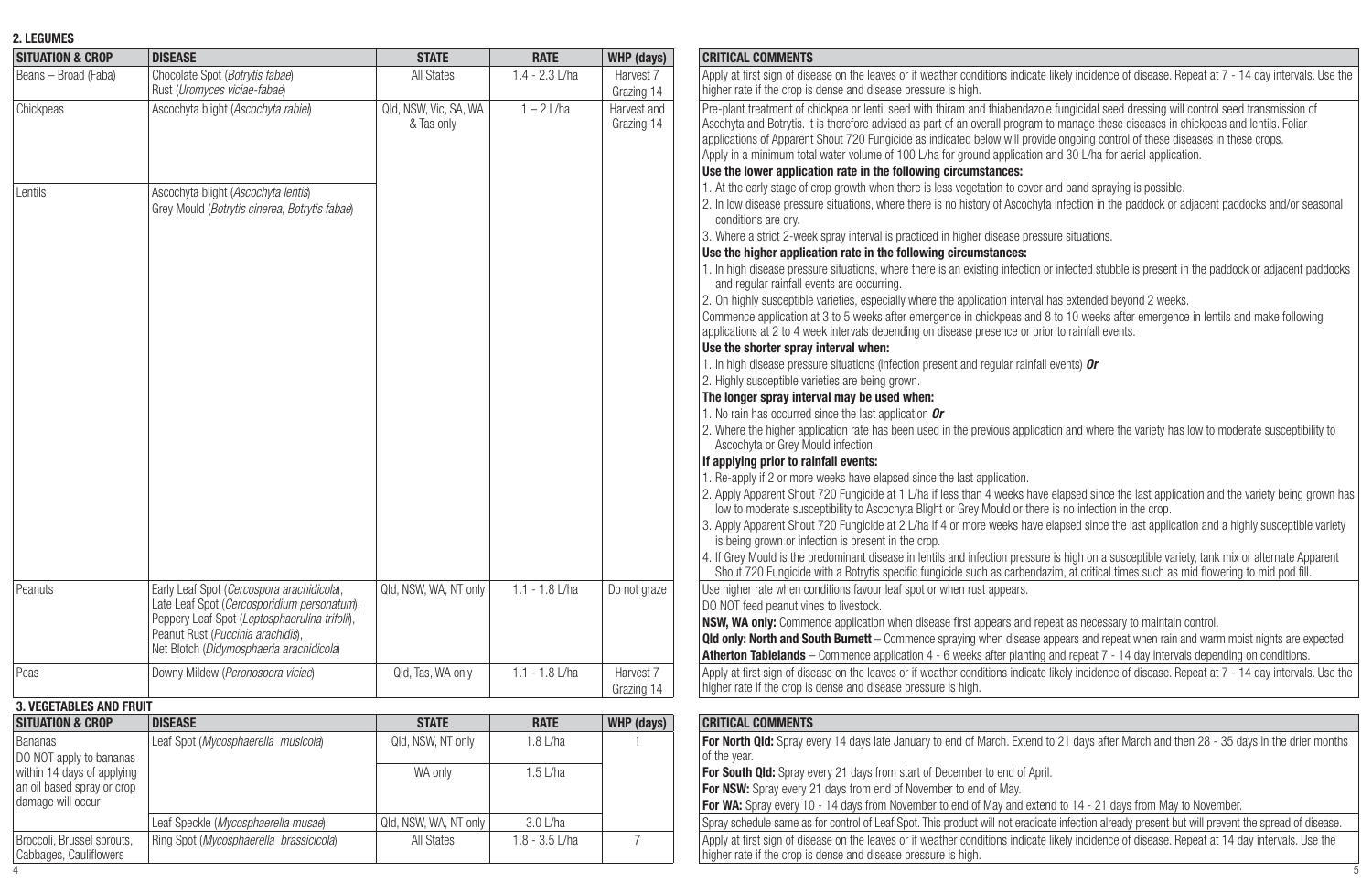## **2. LEGUMES**

| <b>SITUATION &amp; CROP</b>                          | <b>DISEASE</b>                                                                            | <b>STATE</b>                        | <b>RATE</b>      | WHP (days)                | <b>CRITICAL COMMENTS</b>                                                                                                                                                                                                                                                                                                                                                                                                                                                                                                                                                                              |
|------------------------------------------------------|-------------------------------------------------------------------------------------------|-------------------------------------|------------------|---------------------------|-------------------------------------------------------------------------------------------------------------------------------------------------------------------------------------------------------------------------------------------------------------------------------------------------------------------------------------------------------------------------------------------------------------------------------------------------------------------------------------------------------------------------------------------------------------------------------------------------------|
| Beans - Broad (Faba)                                 | Chocolate Spot (Botrytis fabae)<br>Rust (Uromyces viciae-fabae)                           | All States                          | $1.4 - 2.3$ L/ha | Harvest 7<br>Grazing 14   | Apply at first sign of disease on the leaves or if weather conditions indicate likely incidence of disease. Repeat at 7 - 14 day intervals. Use the<br>higher rate if the crop is dense and disease pressure is high.                                                                                                                                                                                                                                                                                                                                                                                 |
| Chickpeas                                            | Ascochyta blight (Ascochyta rabiel)                                                       | Qld. NSW. Vic. SA. WA<br>& Tas only | $1 - 2$ L/ha     | Harvest and<br>Grazing 14 | Pre-plant treatment of chickpea or lentil seed with thiram and thiabendazole fungicidal seed dressing will control seed transmission of<br>Ascohyta and Botrytis. It is therefore advised as part of an overall program to manage these diseases in chickpeas and lentils. Foliar<br>applications of Apparent Shout 720 Fungicide as indicated below will provide ongoing control of these diseases in these crops.<br>Apply in a minimum total water volume of 100 L/ha for ground application and 30 L/ha for aerial application.<br>Use the lower application rate in the following circumstances: |
| I entils                                             | Ascochyta blight (Ascochyta lentis)<br>Grey Mould (Botrytis cinerea, Botrytis fabae)      |                                     |                  |                           | 1. At the early stage of crop growth when there is less vegetation to cover and band spraying is possible.<br>2. In low disease pressure situations, where there is no history of Ascochyta infection in the paddock or adjacent paddocks and/or seasonal<br>conditions are dry.                                                                                                                                                                                                                                                                                                                      |
|                                                      |                                                                                           |                                     |                  |                           | 3. Where a strict 2-week spray interval is practiced in higher disease pressure situations.                                                                                                                                                                                                                                                                                                                                                                                                                                                                                                           |
|                                                      |                                                                                           |                                     |                  |                           | Use the higher application rate in the following circumstances:<br>1. In high disease pressure situations, where there is an existing infection or infected stubble is present in the paddock or adjacent paddocks<br>and regular rainfall events are occurring.                                                                                                                                                                                                                                                                                                                                      |
|                                                      |                                                                                           |                                     |                  |                           | 2. On highly susceptible varieties, especially where the application interval has extended beyond 2 weeks.<br>Commence application at 3 to 5 weeks after emergence in chickpeas and 8 to 10 weeks after emergence in lentils and make following<br>applications at 2 to 4 week intervals depending on disease presence or prior to rainfall events.<br>Use the shorter spray interval when:                                                                                                                                                                                                           |
|                                                      |                                                                                           |                                     |                  |                           | 1. In high disease pressure situations (infection present and regular rainfall events) Or<br>2. Highly susceptible varieties are being grown.                                                                                                                                                                                                                                                                                                                                                                                                                                                         |
|                                                      |                                                                                           |                                     |                  |                           | The longer spray interval may be used when:                                                                                                                                                                                                                                                                                                                                                                                                                                                                                                                                                           |
|                                                      |                                                                                           |                                     |                  |                           | 1. No rain has occurred since the last application Or                                                                                                                                                                                                                                                                                                                                                                                                                                                                                                                                                 |
|                                                      |                                                                                           |                                     |                  |                           | 2. Where the higher application rate has been used in the previous application and where the variety has low to moderate susceptibility to<br>Ascochyta or Grey Mould infection.                                                                                                                                                                                                                                                                                                                                                                                                                      |
|                                                      |                                                                                           |                                     |                  |                           | If applying prior to rainfall events:<br>1. Re-apply if 2 or more weeks have elapsed since the last application.                                                                                                                                                                                                                                                                                                                                                                                                                                                                                      |
|                                                      |                                                                                           |                                     |                  |                           | 2. Apply Apparent Shout 720 Fungicide at 1 L/ha if less than 4 weeks have elapsed since the last application and the variety being grown has<br>low to moderate susceptibility to Ascochyta Blight or Grey Mould or there is no infection in the crop.                                                                                                                                                                                                                                                                                                                                                |
|                                                      |                                                                                           |                                     |                  |                           | 3. Apply Apparent Shout 720 Fungicide at 2 L/ha if 4 or more weeks have elapsed since the last application and a highly susceptible variety<br>is being grown or infection is present in the crop.                                                                                                                                                                                                                                                                                                                                                                                                    |
|                                                      |                                                                                           |                                     |                  |                           | 4. If Grey Mould is the predominant disease in lentils and infection pressure is high on a susceptible variety, tank mix or alternate Apparent<br>Shout 720 Fungicide with a Botrytis specific fungicide such as carbendazim, at critical times such as mid flowering to mid pod fill.                                                                                                                                                                                                                                                                                                                |
| Peanuts                                              | Early Leaf Spot (Cercospora arachidicola),<br>Late Leaf Spot (Cercosporidium personatum), | Qld. NSW. WA. NT only               | $1.1 - 1.8$ L/ha | Do not graze              | Use higher rate when conditions favour leaf spot or when rust appears.<br>DO NOT feed peanut vines to livestock.                                                                                                                                                                                                                                                                                                                                                                                                                                                                                      |
|                                                      | Peppery Leaf Spot (Leptosphaerulina trifoli),                                             |                                     |                  |                           | <b>NSW. WA only:</b> Commence application when disease first appears and repeat as necessary to maintain control.                                                                                                                                                                                                                                                                                                                                                                                                                                                                                     |
|                                                      | Peanut Rust (Puccinia arachidis).                                                         |                                     |                  |                           | <b>Qld only: North and South Burnett</b> - Commence spraying when disease appears and repeat when rain and warm moist nights are expected.                                                                                                                                                                                                                                                                                                                                                                                                                                                            |
|                                                      | Net Blotch (Didymosphaeria arachidicola)                                                  |                                     |                  |                           | Atherton Tablelands - Commence application 4 - 6 weeks after planting and repeat 7 - 14 day intervals depending on conditions.                                                                                                                                                                                                                                                                                                                                                                                                                                                                        |
| Peas                                                 | Downy Mildew (Peronospora viciae)                                                         | Qld, Tas, WA only                   | $1.1 - 1.8$ L/ha | Harvest 7<br>Grazing 14   | Apply at first sign of disease on the leaves or if weather conditions indicate likely incidence of disease. Repeat at 7 - 14 day intervals. Use the<br>higher rate if the crop is dense and disease pressure is high.                                                                                                                                                                                                                                                                                                                                                                                 |
| <b>3. VEGETABLES AND FRUIT</b>                       |                                                                                           |                                     |                  |                           |                                                                                                                                                                                                                                                                                                                                                                                                                                                                                                                                                                                                       |
| <b>SITUATION &amp; CROP</b>                          | <b>DISEASE</b>                                                                            | <b>STATE</b>                        | <b>RATE</b>      | WHP (days)                | <b>CRITICAL COMMENTS</b>                                                                                                                                                                                                                                                                                                                                                                                                                                                                                                                                                                              |
| <b>Bananas</b><br>DO NOT apply to bananas            | Leaf Spot (Mycosphaerella musicola)                                                       | Qld. NSW. NT only                   | $1.8$ I/ha       |                           | For North Qld: Spray every 14 days late January to end of March. Extend to 21 days after March and then 28 - 35 days in the drier months<br>of the year.                                                                                                                                                                                                                                                                                                                                                                                                                                              |
| within 14 days of applying                           |                                                                                           | WA only                             | $1.5$   /ha      |                           | For South Qld: Spray every 21 days from start of December to end of April.                                                                                                                                                                                                                                                                                                                                                                                                                                                                                                                            |
| an oil based spray or crop                           |                                                                                           |                                     |                  |                           | For NSW: Spray every 21 days from end of November to end of May.                                                                                                                                                                                                                                                                                                                                                                                                                                                                                                                                      |
| damage will occur                                    |                                                                                           |                                     |                  |                           | For WA: Spray every 10 - 14 days from November to end of May and extend to 14 - 21 days from May to November.                                                                                                                                                                                                                                                                                                                                                                                                                                                                                         |
|                                                      | Leaf Speckle (Mycosphaerella musae)                                                       | Qld, NSW, WA, NT only               | 3.0 L/ha         |                           | Spray schedule same as for control of Leaf Spot. This product will not eradicate infection already present but will prevent the spread of disease.                                                                                                                                                                                                                                                                                                                                                                                                                                                    |
| Broccoli, Brussel sprouts,<br>Cabbages, Cauliflowers | Ring Spot (Mycosphaerella brassicicola)                                                   | All States                          | $1.8 - 3.5$ L/ha | $\overline{7}$            | Apply at first sign of disease on the leaves or if weather conditions indicate likely incidence of disease. Repeat at 14 day intervals. Use the<br>higher rate if the crop is dense and disease pressure is high.                                                                                                                                                                                                                                                                                                                                                                                     |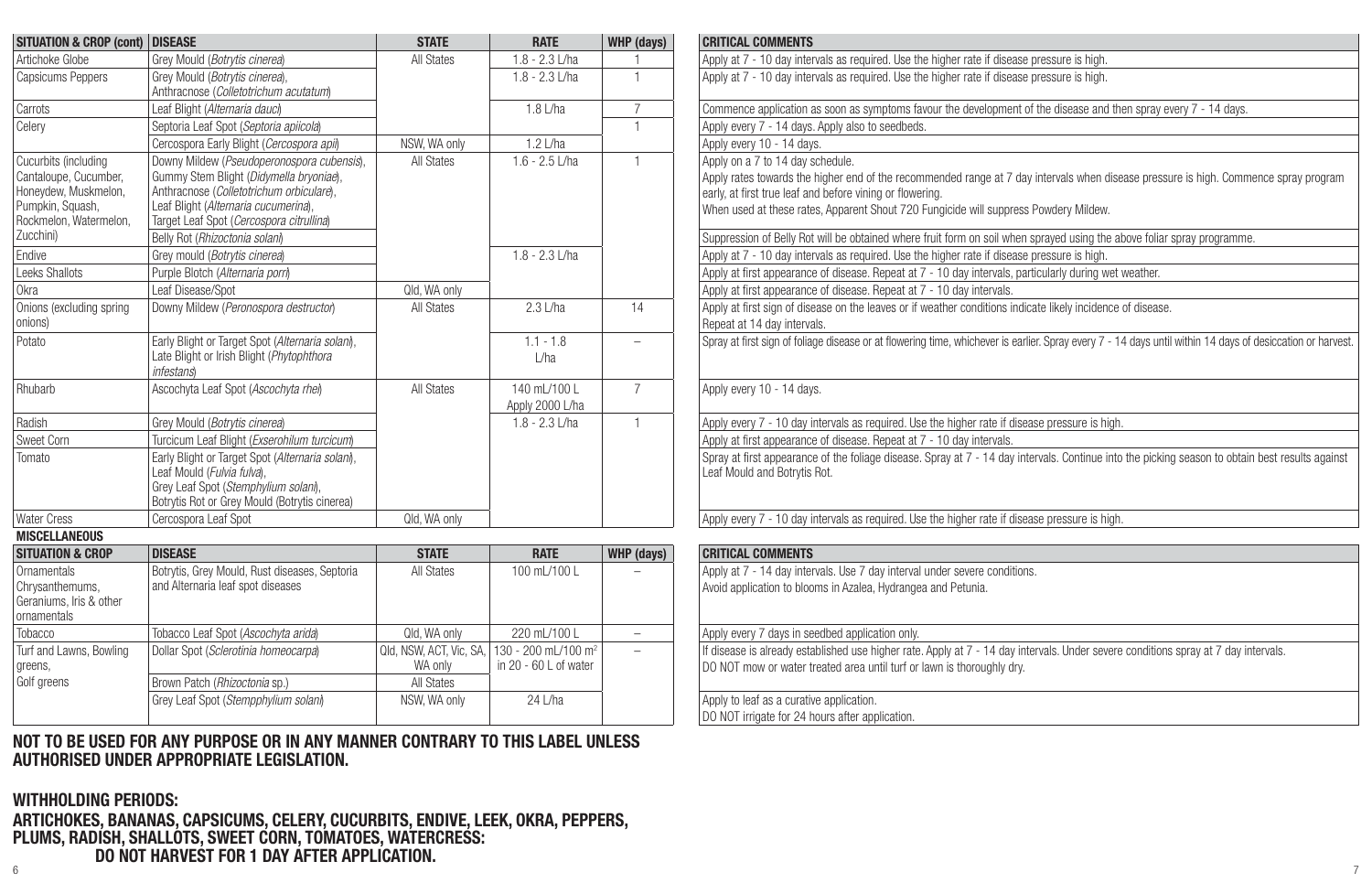| <b>SITUATION &amp; CROP (cont) DISEASE</b>                                                                                       |                                                                                                                                                                                                                       | <b>STATE</b>                       | <b>RATE</b>                                               | WHP (days)               | <b>CRITICAL COMMENTS</b>                                                                                                                                                                                                                                                                                    |
|----------------------------------------------------------------------------------------------------------------------------------|-----------------------------------------------------------------------------------------------------------------------------------------------------------------------------------------------------------------------|------------------------------------|-----------------------------------------------------------|--------------------------|-------------------------------------------------------------------------------------------------------------------------------------------------------------------------------------------------------------------------------------------------------------------------------------------------------------|
| Artichoke Globe                                                                                                                  | Grev Mould (Botrytis cinerea)                                                                                                                                                                                         | All States                         | $1.8 - 2.3$ L/ha                                          |                          | Apply at 7 - 10 day intervals as required. Use the higher rate if disease pressure is high.                                                                                                                                                                                                                 |
| Capsicums Peppers                                                                                                                | Grev Mould (Botrytis cinerea).<br>Anthracnose (Colletotrichum acutatum)                                                                                                                                               |                                    | $1.8 - 2.3$ J/ha                                          |                          | Apply at 7 - 10 day intervals as required. Use the higher rate if disease pressure is high.                                                                                                                                                                                                                 |
| Carrots                                                                                                                          | Leaf Blight (Alternaria dauch                                                                                                                                                                                         |                                    | 1.8 L/ha                                                  | $\overline{7}$           | Commence application as soon as symptoms favour the development of the disease and then spray every 7 - 14 days                                                                                                                                                                                             |
| Celery                                                                                                                           | Septoria Leaf Spot (Septoria apiicola)                                                                                                                                                                                |                                    |                                                           | $\overline{1}$           | Apply every 7 - 14 days. Apply also to seedbeds.                                                                                                                                                                                                                                                            |
|                                                                                                                                  | Cercospora Early Blight (Cercospora apih)                                                                                                                                                                             | NSW. WA only                       | $1.2$ L/ha                                                |                          | Apply every 10 - 14 days.                                                                                                                                                                                                                                                                                   |
| Cucurbits (including<br>Cantaloupe, Cucumber,<br>Honevdew, Muskmelon.<br>Pumpkin, Squash,<br>Rockmelon, Watermelon,<br>Zucchini) | Downy Mildew (Pseudoperonospora cubensis),<br>Gummy Stem Blight (Didymella bryoniae),<br>Anthracnose (Colletotrichum orbiculare),<br>Leaf Blight (Alternaria cucumerina),<br>Target Leaf Spot (Cercospora citrullina) | All States                         | $1.6 - 2.5$ L/ha                                          | $\overline{1}$           | Apply on a 7 to 14 day schedule.<br>Apply rates towards the higher end of the recommended range at 7 day intervals when disease pressure is high. Comr<br>early, at first true leaf and before vining or flowering.<br>When used at these rates, Apparent Shout 720 Fungicide will suppress Powdery Mildew. |
| Endive                                                                                                                           | Belly Rot (Rhizoctonia solani)<br>Grey mould (Botrytis cinerea)                                                                                                                                                       |                                    | $1.8 - 2.3$ L/ha                                          |                          | Suppression of Belly Rot will be obtained where fruit form on soil when sprayed using the above foliar spray programm<br>Apply at 7 - 10 day intervals as required. Use the higher rate if disease pressure is high.                                                                                        |
| Leeks Shallots                                                                                                                   | Purple Blotch (Alternaria porri)                                                                                                                                                                                      |                                    |                                                           |                          |                                                                                                                                                                                                                                                                                                             |
| Okra                                                                                                                             | Leaf Disease/Spot                                                                                                                                                                                                     | Qld, WA only                       |                                                           |                          | Apply at first appearance of disease. Repeat at 7 - 10 day intervals, particularly during wet weather.<br>Apply at first appearance of disease. Repeat at 7 - 10 day intervals.                                                                                                                             |
| Onions (excluding spring                                                                                                         | Downy Mildew (Peronospora destructor)                                                                                                                                                                                 | All States                         | 2.31/ha                                                   | 14                       | Apply at first sign of disease on the leaves or if weather conditions indicate likely incidence of disease.                                                                                                                                                                                                 |
| onions)                                                                                                                          |                                                                                                                                                                                                                       |                                    |                                                           |                          | Repeat at 14 day intervals.                                                                                                                                                                                                                                                                                 |
| Potato                                                                                                                           | Early Blight or Target Spot (Alternaria solani),<br>Late Blight or Irish Blight (Phytophthora<br><i>infestans</i>                                                                                                     |                                    | $1.1 - 1.8$<br>L/ha                                       | $\overline{\phantom{0}}$ | Spray at first sign of foliage disease or at flowering time, whichever is earlier. Spray every 7 - 14 days until within 14 days of                                                                                                                                                                          |
| Rhubarb                                                                                                                          | Ascochyta Leaf Spot (Ascochyta rhel)                                                                                                                                                                                  | All States                         | 140 mL/100 L<br>Apply 2000 L/ha                           | $\overline{7}$           | Apply every 10 - 14 days.                                                                                                                                                                                                                                                                                   |
| Radish                                                                                                                           | Grev Mould (Botrytis cinerea)                                                                                                                                                                                         |                                    | $1.8 - 2.3$ L/ha                                          | $\overline{1}$           | Apply every 7 - 10 day intervals as required. Use the higher rate if disease pressure is high.                                                                                                                                                                                                              |
| Sweet Corn                                                                                                                       | Turcicum Leaf Blight (Exserohilum turcicum)                                                                                                                                                                           |                                    |                                                           |                          | Apply at first appearance of disease. Repeat at 7 - 10 day intervals.                                                                                                                                                                                                                                       |
| Tomato                                                                                                                           | Early Blight or Target Spot (Alternaria solani),<br>Leaf Mould (Fulvia fulva).<br>Grev Leaf Spot (Stemphylium solan).<br>Botrytis Rot or Grey Mould (Botrytis cinerea)                                                |                                    |                                                           |                          | Spray at first appearance of the foliage disease. Spray at 7 - 14 day intervals. Continue into the picking season to obta<br>Leaf Mould and Botrytis Rot.                                                                                                                                                   |
| <b>Water Cress</b>                                                                                                               | Cercospora Leaf Spot                                                                                                                                                                                                  | Old. WA only                       |                                                           |                          | Apply every 7 - 10 day intervals as required. Use the higher rate if disease pressure is high.                                                                                                                                                                                                              |
| <b>MISCELLANEOUS</b>                                                                                                             |                                                                                                                                                                                                                       |                                    |                                                           |                          |                                                                                                                                                                                                                                                                                                             |
| <b>SITUATION &amp; CROP</b>                                                                                                      | <b>DISEASE</b>                                                                                                                                                                                                        | <b>STATE</b>                       | <b>RATE</b>                                               | WHP (days)               | <b>CRITICAL COMMENTS</b>                                                                                                                                                                                                                                                                                    |
| Ornamentals<br>Chrysanthemums,<br>Geraniums, Iris & other<br>ornamentals                                                         | Botrytis, Grey Mould, Rust diseases, Septoria<br>and Alternaria leaf spot diseases                                                                                                                                    | All States                         | 100 mL/100 L                                              |                          | Apply at 7 - 14 day intervals. Use 7 day interval under severe conditions.<br>Avoid application to blooms in Azalea. Hydrangea and Petunia.                                                                                                                                                                 |
| Tobacco                                                                                                                          | Tobacco Leaf Spot (Ascochyta arida)                                                                                                                                                                                   | Qld. WA only                       | 220 mL/100 L                                              | $\overline{\phantom{0}}$ | Apply every 7 days in seedbed application only.                                                                                                                                                                                                                                                             |
| Turf and Lawns, Bowling<br>greens,                                                                                               | Dollar Spot (Sclerotinia homeocarpa)                                                                                                                                                                                  | Qld, NSW, ACT, Vic, SA,<br>WA only | 130 - 200 ml /100 m <sup>2</sup><br>in 20 - 60 L of water | $\equiv$                 | If disease is already established use higher rate. Apply at 7 - 14 day intervals. Under severe conditions spray at 7 day i<br>DO NOT mow or water treated area until turf or lawn is thoroughly drv.                                                                                                        |
| Golf greens                                                                                                                      | Brown Patch (Rhizoctonia sp.)                                                                                                                                                                                         | All States                         |                                                           |                          |                                                                                                                                                                                                                                                                                                             |
|                                                                                                                                  | Grey Leaf Spot (Stempphylium solani)                                                                                                                                                                                  | NSW, WA only                       | $24$   /ha                                                |                          | Apply to leaf as a curative application.<br>DO NOT irrigate for 24 hours after application.                                                                                                                                                                                                                 |

**NOT TO BE USED FOR ANY PURPOSE OR IN ANY MANNER CONTRARY TO THIS LABEL UNLESS AUTHORISED UNDER APPROPRIATE LEGISLATION.**

#### **WITHHOLDING PERIODS:**

 $\frac{1}{7}$ **ARTICHOKES, BANANAS, CAPSICUMS, CELERY, CUCURBITS, ENDIVE, LEEK, OKRA, PEPPERS, PLUMS, RADISH, SHALLOTS, SWEET CORN, TOMATOES, WATERCRESS: DO NOT HARVEST FOR 1 DAY AFTER APPLICATION.**

| <b>UISEASE</b>                                                                                                                                                                                                                                          | <b>SIAIL</b>      | KAIL                             | WHP (Qays)     | <b>GRITIGAL GUMMENTS</b>                                                                                                                                                                                                                                                                                                                                                                                                                                 |
|---------------------------------------------------------------------------------------------------------------------------------------------------------------------------------------------------------------------------------------------------------|-------------------|----------------------------------|----------------|----------------------------------------------------------------------------------------------------------------------------------------------------------------------------------------------------------------------------------------------------------------------------------------------------------------------------------------------------------------------------------------------------------------------------------------------------------|
| Grey Mould (Botrytis cinerea)                                                                                                                                                                                                                           | <b>All States</b> | $1.8 - 2.3$ J/ha                 |                | Apply at 7 - 10 day intervals as required. Use the higher rate if disease pressure is high.                                                                                                                                                                                                                                                                                                                                                              |
| Grev Mould (Botrytis cinerea).<br>Anthracnose (Colletotrichum acutatum)                                                                                                                                                                                 |                   | $1.8 - 2.3$ J/ha                 |                | Apply at 7 - 10 day intervals as required. Use the higher rate if disease pressure is high.                                                                                                                                                                                                                                                                                                                                                              |
| Leaf Blight (Alternaria dauci)                                                                                                                                                                                                                          |                   | 1.8 L/ha                         |                | Commence application as soon as symptoms favour the development of the disease and then spray every 7 - 14 days.                                                                                                                                                                                                                                                                                                                                         |
| Septoria Leaf Spot (Septoria apiicola)                                                                                                                                                                                                                  |                   |                                  | $\mathbf{1}$   | Apply every 7 - 14 days. Apply also to seedbeds.                                                                                                                                                                                                                                                                                                                                                                                                         |
| Cercospora Early Blight (Cercospora apil)                                                                                                                                                                                                               | NSW. WA only      | $1.2$ L/ha                       |                | Apply every 10 - 14 days.                                                                                                                                                                                                                                                                                                                                                                                                                                |
| Downy Mildew (Pseudoperonospora cubensis),<br>Gummy Stem Blight (Didymella bryoniae),<br>Anthracnose (Colletotrichum orbiculare),<br>Leaf Blight (Alternaria cucumerina),<br>Target Leaf Spot (Cercospora citrullina)<br>Belly Rot (Rhizoctonia solani) | All States        | $1.6 - 2.5$ L/ha                 |                | Apply on a 7 to 14 day schedule.<br>Apply rates towards the higher end of the recommended range at 7 day intervals when disease pressure is high. Commence spray program<br>early, at first true leaf and before vining or flowering.<br>When used at these rates, Apparent Shout 720 Fungicide will suppress Powdery Mildew.<br>Suppression of Belly Rot will be obtained where fruit form on soil when sprayed using the above foliar spray programme. |
| Grey mould (Botrytis cinerea)                                                                                                                                                                                                                           |                   | $1.8 - 2.3$ L/ha                 |                | Apply at 7 - 10 day intervals as required. Use the higher rate if disease pressure is high.                                                                                                                                                                                                                                                                                                                                                              |
| Purple Blotch (Alternaria porri)                                                                                                                                                                                                                        |                   |                                  |                | Apply at first appearance of disease. Repeat at 7 - 10 day intervals, particularly during wet weather.                                                                                                                                                                                                                                                                                                                                                   |
| Leaf Disease/Spot                                                                                                                                                                                                                                       | Qld. WA only      |                                  |                | Apply at first appearance of disease. Repeat at 7 - 10 day intervals.                                                                                                                                                                                                                                                                                                                                                                                    |
| Downy Mildew (Peronospora destructor)                                                                                                                                                                                                                   | All States        | 2.31/ha                          | 14             | Apply at first sign of disease on the leaves or if weather conditions indicate likely incidence of disease.<br>Repeat at 14 day intervals.                                                                                                                                                                                                                                                                                                               |
| Early Blight or Target Spot (Alternaria solani),<br>Late Blight or Irish Blight (Phytophthora<br><i>infestans</i> )                                                                                                                                     |                   | $1.1 - 1.8$<br>L/ha              |                | Spray at first sign of foliage disease or at flowering time, whichever is earlier. Spray every 7 - 14 days until within 14 days of desiccation or harvest.                                                                                                                                                                                                                                                                                               |
| Ascochyta Leaf Spot (Ascochyta rhel)                                                                                                                                                                                                                    | All States        | 140 ml /100 l<br>Apply 2000 L/ha | $\overline{7}$ | Apply every 10 - 14 days.                                                                                                                                                                                                                                                                                                                                                                                                                                |
| Grey Mould (Botrytis cinerea)                                                                                                                                                                                                                           |                   | $1.8 - 2.3$ J/ha                 | -1             | Apply every 7 - 10 day intervals as required. Use the higher rate if disease pressure is high.                                                                                                                                                                                                                                                                                                                                                           |
| Turcicum Leaf Blight (Exserohilum turcicum)                                                                                                                                                                                                             |                   |                                  |                | Apply at first appearance of disease. Repeat at 7 - 10 day intervals.                                                                                                                                                                                                                                                                                                                                                                                    |
| Early Blight or Target Spot (Alternaria solani).<br>Leaf Mould (Fulvia fulva),<br>Grey Leaf Spot (Stemphylium solani),<br>Botrytis Rot or Grey Mould (Botrytis cinerea)                                                                                 |                   |                                  |                | Spray at first appearance of the foliage disease. Spray at 7 - 14 day intervals. Continue into the picking season to obtain best results against<br>Leaf Mould and Botrytis Rot.                                                                                                                                                                                                                                                                         |
| Cercospora Leaf Spot                                                                                                                                                                                                                                    | Qld. WA only      |                                  |                | Apply every 7 - 10 day intervals as required. Use the higher rate if disease pressure is high.                                                                                                                                                                                                                                                                                                                                                           |
|                                                                                                                                                                                                                                                         |                   |                                  |                |                                                                                                                                                                                                                                                                                                                                                                                                                                                          |
| <b>DIOPAOP</b>                                                                                                                                                                                                                                          | $A = A + B$       | <b>BARR</b>                      | $\cdots$       | OBITION LOOPERTHEA                                                                                                                                                                                                                                                                                                                                                                                                                                       |

| <b>STATE</b> | <b>RATE</b>                             | WHP (days) | <b>CRITICAL COMMENTS</b>                                                                                                            |
|--------------|-----------------------------------------|------------|-------------------------------------------------------------------------------------------------------------------------------------|
| All States   | 100 ml /100 l                           |            | Apply at 7 - 14 day intervals. Use 7 day interval under severe conditions.                                                          |
|              |                                         |            | Avoid application to blooms in Azalea. Hydrangea and Petunia.                                                                       |
|              |                                         |            |                                                                                                                                     |
| ld. WA onlv  | 220 ml /100 l                           |            | Apply every 7 days in seedbed application only.                                                                                     |
|              | SW, ACT, Vic, SA,   130 - 200 mL/100 m² |            | If disease is already established use higher rate. Apply at 7 - 14 day intervals. Under severe conditions spray at 7 day intervals. |
| WA only      | in 20 - 60 L of water                   |            | IDO NOT mow or water treated area until turf or lawn is thoroughly dry.                                                             |
| All States   |                                         |            |                                                                                                                                     |
| SW. WA only  | 24   /ha                                |            | Apply to leaf as a curative application.                                                                                            |
|              |                                         |            | DO NOT irrigate for 24 hours after application.                                                                                     |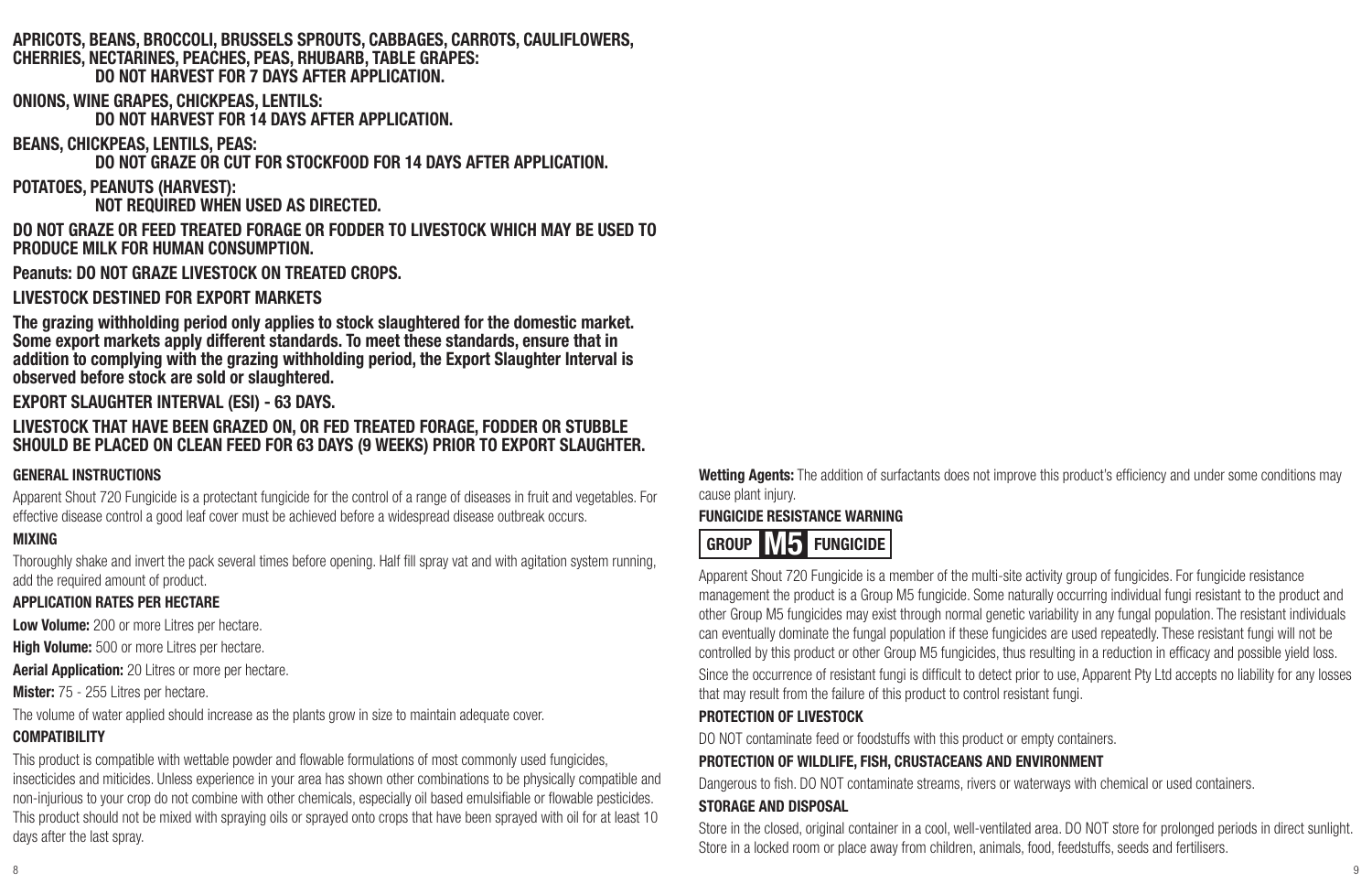#### **APRICOTS, BEANS, BROCCOLI, BRUSSELS SPROUTS, CABBAGES, CARROTS, CAULIFLOWERS, CHERRIES, NECTARINES, PEACHES, PEAS, RHUBARB, TABLE GRAPES: DO NOT HARVEST FOR 7 DAYS AFTER APPLICATION.**

**ONIONS, WINE GRAPES, CHICKPEAS, LENTILS:**

**DO NOT HARVEST FOR 14 DAYS AFTER APPLICATION.**

**BEANS, CHICKPEAS, LENTILS, PEAS:**

**DO NOT GRAZE OR CUT FOR STOCKFOOD FOR 14 DAYS AFTER APPLICATION.**

**POTATOES, PEANUTS (HARVEST):**

**NOT REQUIRED WHEN USED AS DIRECTED.**

**DO NOT GRAZE OR FEED TREATED FORAGE OR FODDER TO LIVESTOCK WHICH MAY BE USED TO PRODUCE MILK FOR HUMAN CONSUMPTION.**

**Peanuts: DO NOT GRAZE LIVESTOCK ON TREATED CROPS.**

**LIVESTOCK DESTINED FOR EXPORT MARKETS**

**The grazing withholding period only applies to stock slaughtered for the domestic market. Some export markets apply different standards. To meet these standards, ensure that in addition to complying with the grazing withholding period, the Export Slaughter Interval is observed before stock are sold or slaughtered.**

#### **EXPORT SLAUGHTER INTERVAL (ESI) - 63 DAYS.**

#### **LIVESTOCK THAT HAVE BEEN GRAZED ON, OR FED TREATED FORAGE, FODDER OR STUBBLE SHOULD BE PLACED ON CLEAN FEED FOR 63 DAYS (9 WEEKS) PRIOR TO EXPORT SLAUGHTER.**

#### **GENERAL INSTRUCTIONS**

Apparent Shout 720 Fungicide is a protectant fungicide for the control of a range of diseases in fruit and vegetables. For effective disease control a good leaf cover must be achieved before a widespread disease outbreak occurs.

#### **MIXING**

Thoroughly shake and invert the pack several times before opening. Half fill spray vat and with agitation system running, add the required amount of product.

#### **APPLICATION RATES PER HECTARE**

**Low Volume:** 200 or more Litres per hectare.

**High Volume:** 500 or more Litres per hectare.

**Aerial Application:** 20 Litres or more per hectare.

**Mister:** 75 - 255 Litres per hectare.

The volume of water applied should increase as the plants grow in size to maintain adequate cover.

#### **COMPATIBILITY**

This product is compatible with wettable powder and flowable formulations of most commonly used fungicides, insecticides and miticides. Unless experience in your area has shown other combinations to be physically compatible and non-injurious to your crop do not combine with other chemicals, especially oil based emulsifiable or flowable pesticides. This product should not be mixed with spraying oils or sprayed onto crops that have been sprayed with oil for at least 10 days after the last spray.

**Wetting Agents:** The addition of surfactants does not improve this product's efficiency and under some conditions may cause plant injury.

#### **FUNGICIDE RESISTANCE WARNING**

### **GROUP M5 FUNGICIDE**

Apparent Shout 720 Fungicide is a member of the multi-site activity group of fungicides. For fungicide resistance management the product is a Group M5 fungicide. Some naturally occurring individual fungi resistant to the product and other Group M5 fungicides may exist through normal genetic variability in any fungal population. The resistant individuals can eventually dominate the fungal population if these fungicides are used repeatedly. These resistant fungi will not be controlled by this product or other Group M5 fungicides, thus resulting in a reduction in efficacy and possible yield loss. Since the occurrence of resistant fungi is difficult to detect prior to use, Apparent Pty Ltd accepts no liability for any losses that may result from the failure of this product to control resistant fungi.

#### **PROTECTION OF LIVESTOCK**

DO NOT contaminate feed or foodstuffs with this product or empty containers.

#### **PROTECTION OF WILDLIFE, FISH, CRUSTACEANS AND ENVIRONMENT**

Dangerous to fish. DO NOT contaminate streams, rivers or waterways with chemical or used containers.

#### **STORAGE AND DISPOSAL**

Store in the closed, original container in a cool, well-ventilated area. DO NOT store for prolonged periods in direct sunlight. Store in a locked room or place away from children, animals, food, feedstuffs, seeds and fertilisers.